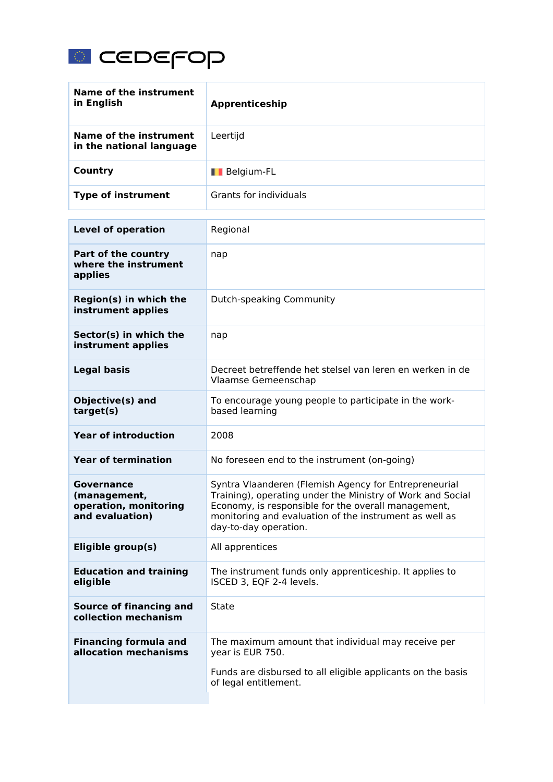

| Name of the instrument<br>in English                                          | Apprenticeship                                                                                                                                                                                                                                                |
|-------------------------------------------------------------------------------|---------------------------------------------------------------------------------------------------------------------------------------------------------------------------------------------------------------------------------------------------------------|
| <b>Name of the instrument</b><br>in the national language                     | Leertijd                                                                                                                                                                                                                                                      |
| <b>Country</b>                                                                | <b>I</b> Belgium-FL                                                                                                                                                                                                                                           |
| <b>Type of instrument</b>                                                     | <b>Grants for individuals</b>                                                                                                                                                                                                                                 |
| <b>Level of operation</b>                                                     | Regional                                                                                                                                                                                                                                                      |
| Part of the country<br>where the instrument<br>applies                        | nap                                                                                                                                                                                                                                                           |
| Region(s) in which the<br>instrument applies                                  | Dutch-speaking Community                                                                                                                                                                                                                                      |
| Sector(s) in which the<br>instrument applies                                  | nap                                                                                                                                                                                                                                                           |
| <b>Legal basis</b>                                                            | Decreet betreffende het stelsel van leren en werken in de<br>Vlaamse Gemeenschap                                                                                                                                                                              |
| Objective(s) and<br>target(s)                                                 | To encourage young people to participate in the work-<br>based learning                                                                                                                                                                                       |
| <b>Year of introduction</b>                                                   | 2008                                                                                                                                                                                                                                                          |
| <b>Year of termination</b>                                                    | No foreseen end to the instrument (on-going)                                                                                                                                                                                                                  |
| <b>Governance</b><br>(management,<br>operation, monitoring<br>and evaluation) | Syntra Vlaanderen (Flemish Agency for Entrepreneurial<br>Training), operating under the Ministry of Work and Social<br>Economy, is responsible for the overall management,<br>monitoring and evaluation of the instrument as well as<br>day-to-day operation. |
| Eligible group(s)                                                             | All apprentices                                                                                                                                                                                                                                               |
| <b>Education and training</b><br>eligible                                     | The instrument funds only apprenticeship. It applies to<br>ISCED 3, EQF 2-4 levels.                                                                                                                                                                           |
| <b>Source of financing and</b><br>collection mechanism                        | State                                                                                                                                                                                                                                                         |
| <b>Financing formula and</b><br>allocation mechanisms                         | The maximum amount that individual may receive per<br>year is EUR 750.<br>Funds are disbursed to all eligible applicants on the basis<br>of legal entitlement.                                                                                                |